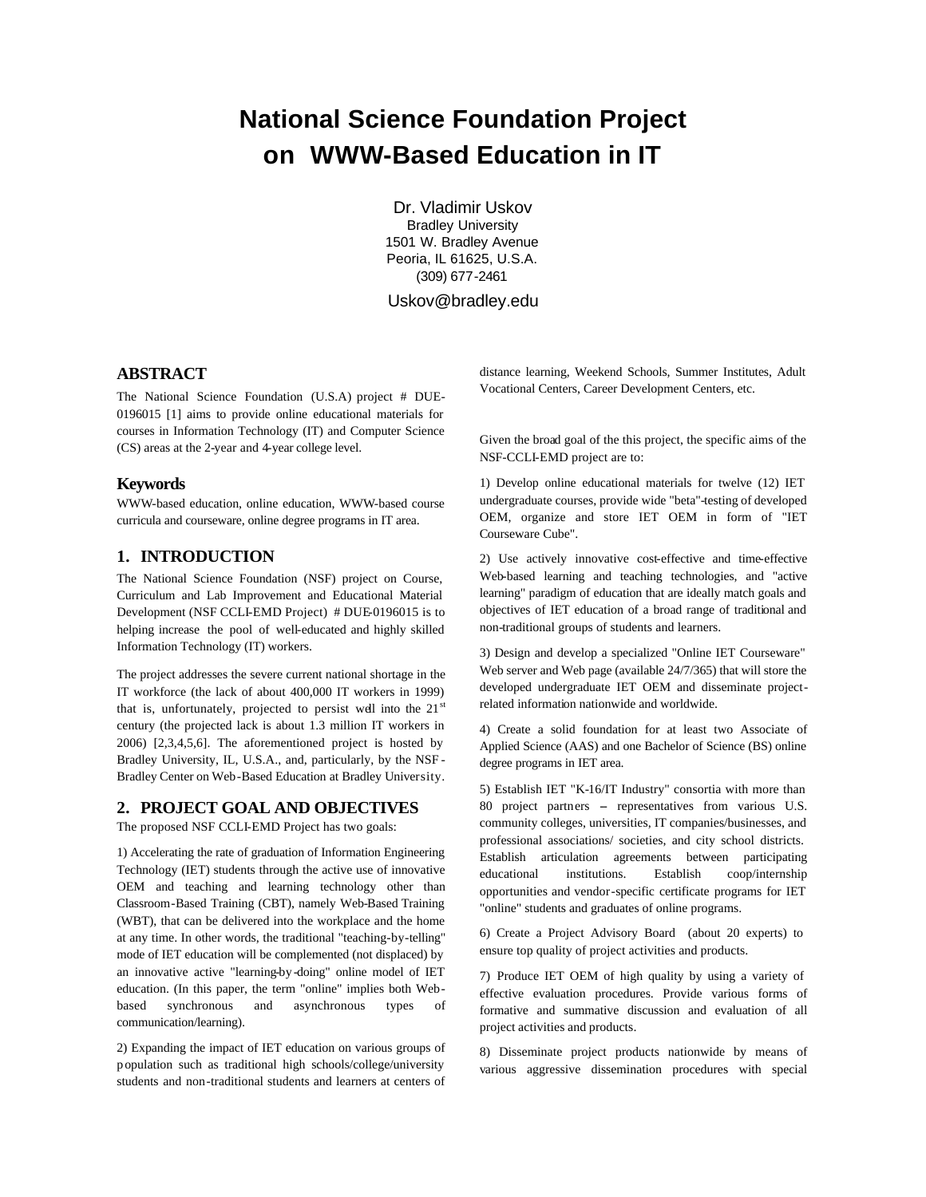# **National Science Foundation Project on WWW-Based Education in IT**

Dr. Vladimir Uskov Bradley University 1501 W. Bradley Avenue Peoria, IL 61625, U.S.A. (309) 677-2461

Uskov@bradley.edu

# **ABSTRACT**

The National Science Foundation (U.S.A) project # DUE-0196015 [1] aims to provide online educational materials for courses in Information Technology (IT) and Computer Science (CS) areas at the 2-year and 4-year college level.

#### **Keywords**

WWW-based education, online education, WWW-based course curricula and courseware, online degree programs in IT area.

# **1. INTRODUCTION**

The National Science Foundation (NSF) project on Course, Curriculum and Lab Improvement and Educational Material Development (NSF CCLI-EMD Project) # DUE-0196015 is to helping increase the pool of well-educated and highly skilled Information Technology (IT) workers.

The project addresses the severe current national shortage in the IT workforce (the lack of about 400,000 IT workers in 1999) that is, unfortunately, projected to persist well into the  $21<sup>st</sup>$ century (the projected lack is about 1.3 million IT workers in 2006) [2,3,4,5,6]. The aforementioned project is hosted by Bradley University, IL, U.S.A., and, particularly, by the NSF - Bradley Center on Web-Based Education at Bradley University.

## **2. PROJECT GOAL AND OBJECTIVES**

The proposed NSF CCLI-EMD Project has two goals:

1) Accelerating the rate of graduation of Information Engineering Technology (IET) students through the active use of innovative OEM and teaching and learning technology other than Classroom-Based Training (CBT), namely Web-Based Training (WBT), that can be delivered into the workplace and the home at any time. In other words, the traditional "teaching-by-telling" mode of IET education will be complemented (not displaced) by an innovative active "learning-by-doing" online model of IET education. (In this paper, the term "online" implies both Webbased synchronous and asynchronous types of communication/learning).

2) Expanding the impact of IET education on various groups of population such as traditional high schools/college/university students and non-traditional students and learners at centers of

distance learning, Weekend Schools, Summer Institutes, Adult Vocational Centers, Career Development Centers, etc.

Given the broad goal of the this project, the specific aims of the NSF-CCLI-EMD project are to:

1) Develop online educational materials for twelve (12) IET undergraduate courses, provide wide "beta"-testing of developed OEM, organize and store IET OEM in form of "IET Courseware Cube".

2) Use actively innovative cost-effective and time-effective Web-based learning and teaching technologies, and "active learning" paradigm of education that are ideally match goals and objectives of IET education of a broad range of traditional and non-traditional groups of students and learners.

3) Design and develop a specialized "Online IET Courseware" Web server and Web page (available 24/7/365) that will store the developed undergraduate IET OEM and disseminate projectrelated information nationwide and worldwide.

4) Create a solid foundation for at least two Associate of Applied Science (AAS) and one Bachelor of Science (BS) online degree programs in IET area.

5) Establish IET "K-16/IT Industry" consortia with more than 80 project partners -- representatives from various U.S. community colleges, universities, IT companies/businesses, and professional associations/ societies, and city school districts. Establish articulation agreements between participating educational institutions. Establish coop/internship opportunities and vendor-specific certificate programs for IET "online" students and graduates of online programs.

6) Create a Project Advisory Board (about 20 experts) to ensure top quality of project activities and products.

7) Produce IET OEM of high quality by using a variety of effective evaluation procedures. Provide various forms of formative and summative discussion and evaluation of all project activities and products.

8) Disseminate project products nationwide by means of various aggressive dissemination procedures with special